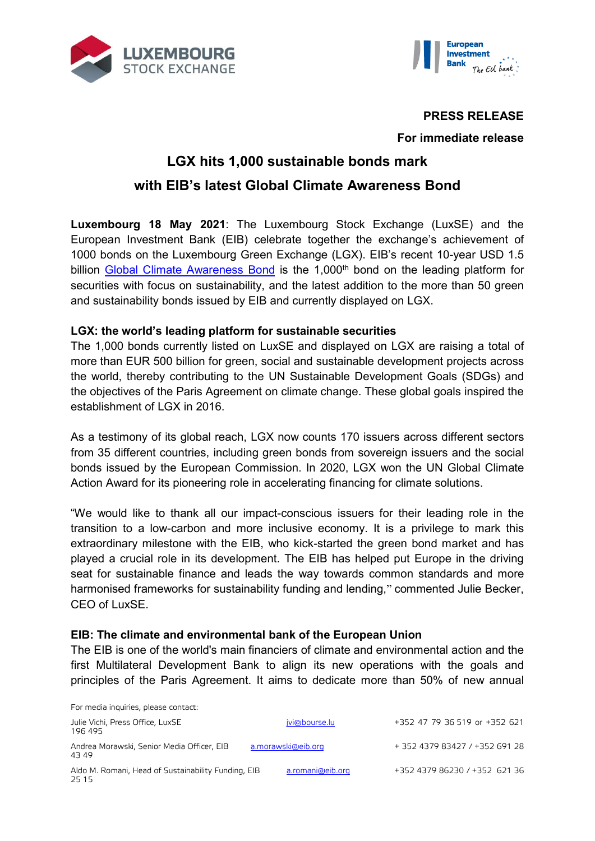



## **PRESS RELEASE**

## **For immediate release**

# **LGX hits 1,000 sustainable bonds mark with EIB's latest Global Climate Awareness Bond**

**Luxembourg 18 May 2021**: The Luxembourg Stock Exchange (LuxSE) and the European Investment Bank (EIB) celebrate together the exchange's achievement of 1000 bonds on the Luxembourg Green Exchange (LGX). EIB's recent 10-year USD 1.5 billion [Global Climate Awareness Bond](https://www.eib.org/en/investor_relations/press/2021/fi-2021-21-eib-global-cab-2031.htm) is the 1,000<sup>th</sup> bond on the leading platform for securities with focus on sustainability, and the latest addition to the more than 50 green and sustainability bonds issued by EIB and currently displayed on LGX.

## **LGX: the world's leading platform for sustainable securities**

The 1,000 bonds currently listed on LuxSE and displayed on LGX are raising a total of more than EUR 500 billion for green, social and sustainable development projects across the world, thereby contributing to the UN Sustainable Development Goals (SDGs) and the objectives of the Paris Agreement on climate change. These global goals inspired the establishment of LGX in 2016.

As a testimony of its global reach, LGX now counts 170 issuers across different sectors from 35 different countries, including green bonds from sovereign issuers and the social bonds issued by the European Commission. In 2020, LGX won the UN Global Climate Action Award for its pioneering role in accelerating financing for climate solutions.

"We would like to thank all our impact-conscious issuers for their leading role in the transition to a low-carbon and more inclusive economy. It is a privilege to mark this extraordinary milestone with the EIB, who kick-started the green bond market and has played a crucial role in its development. The EIB has helped put Europe in the driving seat for sustainable finance and leads the way towards common standards and more harmonised frameworks for sustainability funding and lending," commented Julie Becker, CEO of LuxSE.

#### **EIB: The climate and environmental bank of the European Union**

The EIB is one of the world's main financiers of climate and environmental action and the first Multilateral Development Bank to align its new operations with the goals and principles of the Paris Agreement. It aims to dedicate more than 50% of new annual

| For media inquiries, please contact:                         |                    |                                |
|--------------------------------------------------------------|--------------------|--------------------------------|
| Julie Vichi, Press Office, LuxSE<br>196 495                  | jvi@bourse.lu      | +352 47 79 36 519 or +352 621  |
| Andrea Morawski, Senior Media Officer, EIB<br>4349           | a.morawski@eib.org | + 352 4379 83427 / +352 691 28 |
| Aldo M. Romani, Head of Sustainability Funding, EIB<br>25 15 | a.romani@eib.org   | +352 4379 86230 / +352 621 36  |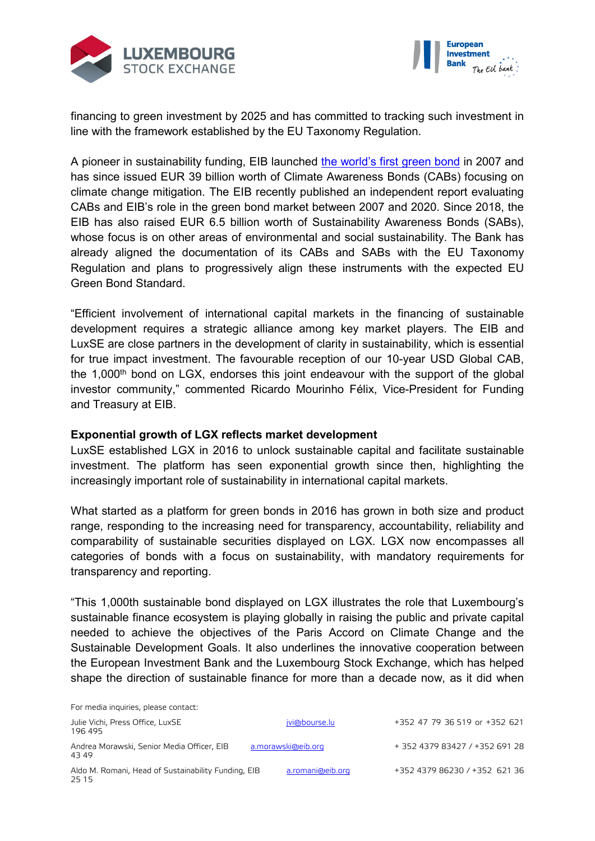



financing to green investment by 2025 and has committed to tracking such investment in line with the framework established by the EU Taxonomy Regulation.

A pioneer in sustainability funding, EIB launched [the world's first green bond](https://www.eib.org/en/investor_relations/press/2007/2007-042-epos-ii-obligation-sensible-au-climat-la-bei-oeuvre-a-la-protection-du-climat-par-le-biais-de-son-emission-a-l-echelle-de-l-ue.htm) in 2007 and has since issued EUR 39 billion worth of Climate Awareness Bonds (CABs) focusing on climate change mitigation. The EIB recently published an independent report evaluating CABs and EIB's role in the green bond market between 2007 and 2020. Since 2018, the EIB has also raised EUR 6.5 billion worth of Sustainability Awareness Bonds (SABs), whose focus is on other areas of environmental and social sustainability. The Bank has already aligned the documentation of its CABs and SABs with the EU Taxonomy Regulation and plans to progressively align these instruments with the expected EU Green Bond Standard.

"Efficient involvement of international capital markets in the financing of sustainable development requires a strategic alliance among key market players. The EIB and LuxSE are close partners in the development of clarity in sustainability, which is essential for true impact investment. The favourable reception of our 10-year USD Global CAB, the 1,000<sup>th</sup> bond on LGX, endorses this joint endeavour with the support of the global investor community," commented Ricardo Mourinho Félix, Vice-President for Funding and Treasury at EIB.

#### **Exponential growth of LGX reflects market development**

LuxSE established LGX in 2016 to unlock sustainable capital and facilitate sustainable investment. The platform has seen exponential growth since then, highlighting the increasingly important role of sustainability in international capital markets.

What started as a platform for green bonds in 2016 has grown in both size and product range, responding to the increasing need for transparency, accountability, reliability and comparability of sustainable securities displayed on LGX. LGX now encompasses all categories of bonds with a focus on sustainability, with mandatory requirements for transparency and reporting.

"This 1,000th sustainable bond displayed on LGX illustrates the role that Luxembourg's sustainable finance ecosystem is playing globally in raising the public and private capital needed to achieve the objectives of the Paris Accord on Climate Change and the Sustainable Development Goals. It also underlines the innovative cooperation between the European Investment Bank and the Luxembourg Stock Exchange, which has helped shape the direction of sustainable finance for more than a decade now, as it did when

| For media inquiries, please contact:                         |                    |                                |
|--------------------------------------------------------------|--------------------|--------------------------------|
| Julie Vichi, Press Office, LuxSE<br>196 495                  | jvi@bourse.lu      | +352 47 79 36 519 or +352 621  |
| Andrea Morawski, Senior Media Officer, EIB<br>43 49          | a.morawski@eib.org | + 352 4379 83427 / +352 691 28 |
| Aldo M. Romani, Head of Sustainability Funding, EIB<br>25 15 | a.romani@eib.org   | +352 4379 86230 / +352 621 36  |